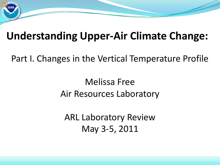

# **Understanding Upper-Air Climate Change:**

Part I. Changes in the Vertical Temperature Profile

#### Melissa Free Air Resources Laboratory

ARL Laboratory Review May 3-5, 2011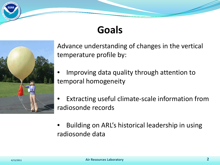# **Goals**



Advance understanding of changes in the vertical temperature profile by:

- Improving data quality through attention to temporal homogeneity
- Extracting useful climate-scale information from radiosonde records
- Building on ARL's historical leadership in using radiosonde data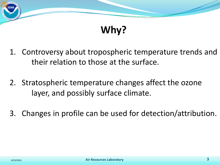

# **Why?**

- 1. Controversy about tropospheric temperature trends and their relation to those at the surface.
- 2. Stratospheric temperature changes affect the ozone layer, and possibly surface climate.
- 3. Changes in profile can be used for detection/attribution.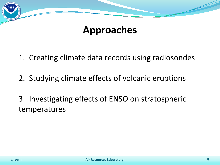

#### **Approaches**

1. Creating climate data records using radiosondes

2. Studying climate effects of volcanic eruptions

3. Investigating effects of ENSO on stratospheric temperatures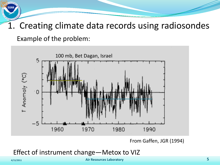1. Creating climate data records using radiosondes Example of the problem:



From Gaffen, JGR (1994)

Effect of instrument change—Metox to VIZ

**4/15/2011 Air Resources Laboratory 5**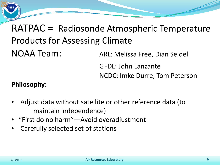

# RATPAC = Radiosonde Atmospheric Temperature Products for Assessing Climate

NOAA Team: ARL: Melissa Free, Dian Seidel GFDL: John Lanzante NCDC: Imke Durre, Tom Peterson

#### **Philosophy:**

- Adjust data without satellite or other reference data (to maintain independence)
- "First do no harm"—Avoid overadjustment
- Carefully selected set of stations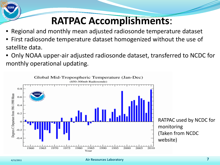# **RATPAC Accomplishments**:

- Regional and monthly mean adjusted radiosonde temperature dataset
- First radiosonde temperature dataset homogenized without the use of satellite data.
- Only NOAA upper-air adjusted radiosonde dataset, transferred to NCDC for monthly operational updating.

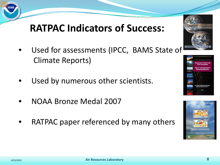## **RATPAC Indicators of Success:**

- Used for assessments (IPCC, BAMS State of Climate Reports)
- Used by numerous other scientists.
- NOAA Bronze Medal 2007
- RATPAC paper referenced by many others





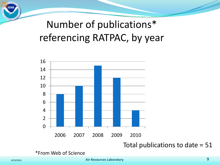# Number of publications\* referencing RATPAC, by year



Total publications to date = 51

\*From Web of Science

**4/15/2011 Air Resources Laboratory 9**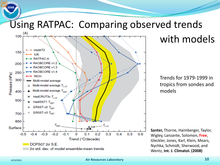# Using RATPAC: Comparing observed trends



#### with models

Trends for 1979-1999 in tropics from sondes and models

**Santer,** Thorne, Haimberger, Taylor, Wigley, Lanzante, Solomon, **Free**, Gleckler, Jones, Karl, Klein, Mears, Nychka, Schmidt, Sherwood, and Wentz, **Int. J. Climatol. (2008)**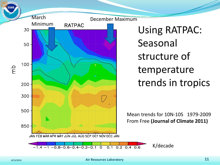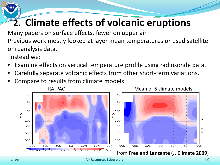# **2. Climate effects of volcanic eruptions**

Many papers on surface effects, fewer on upper air

Previous work mostly looked at layer mean temperatures or used satellite or reanalysis data.

Instead we:

- Examine effects on vertical temperature profile using radiosonde data.
- Carefully separate volcanic effects from other short-term variations.
- Compare to results from climate models.

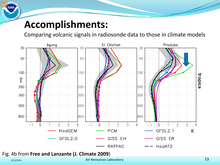#### **Accomplishments:**

Comparing volcanic signals in radiosonde data to those in climate models



#### Fig. 4b from **Free and Lanzante (J. Climate 2009**)

**4/15/2011 Air Resources Laboratory 13**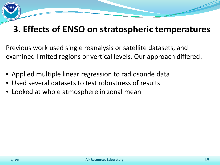#### **3. Effects of ENSO on stratospheric temperatures**

Previous work used single reanalysis or satellite datasets, and examined limited regions or vertical levels. Our approach differed:

- Applied multiple linear regression to radiosonde data
- Used several datasets to test robustness of results
- Looked at whole atmosphere in zonal mean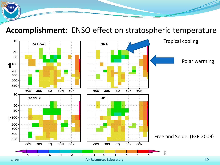#### **Accomplishment:** ENSO effect on stratospheric temperature

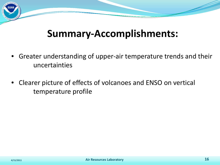## **Summary-Accomplishments:**

- Greater understanding of upper-air temperature trends and their uncertainties
- Clearer picture of effects of volcanoes and ENSO on vertical temperature profile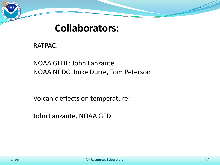#### **Collaborators:**

RATPAC:

NOAA GFDL: John Lanzante NOAA NCDC: Imke Durre, Tom Peterson

Volcanic effects on temperature:

John Lanzante, NOAA GFDL